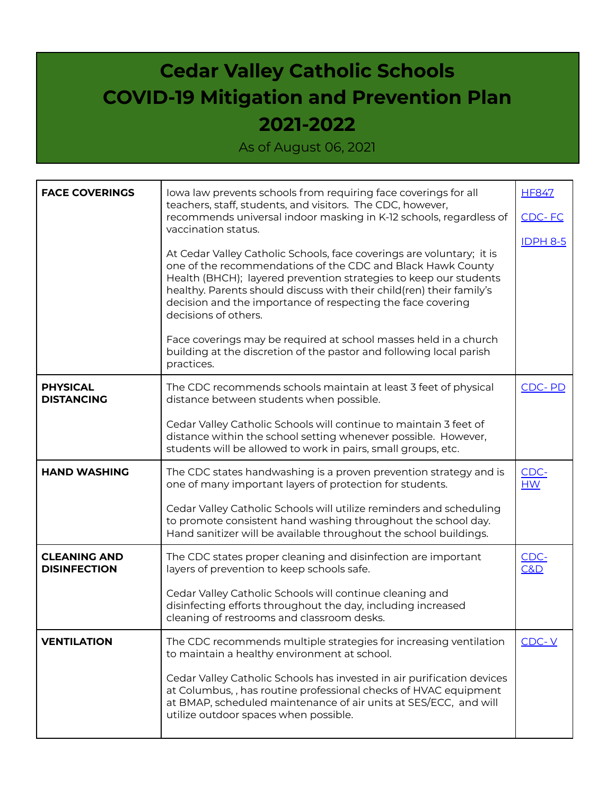## **Cedar Valley Catholic Schools COVID-19 Mitigation and Prevention Plan 2021-2022**

As of August 06, 2021

| <b>FACE COVERINGS</b>                      | lowa law prevents schools from requiring face coverings for all<br>teachers, staff, students, and visitors. The CDC, however,<br>recommends universal indoor masking in K-12 schools, regardless of<br>vaccination status.<br>At Cedar Valley Catholic Schools, face coverings are voluntary; it is<br>one of the recommendations of the CDC and Black Hawk County<br>Health (BHCH); layered prevention strategies to keep our students<br>healthy. Parents should discuss with their child(ren) their family's<br>decision and the importance of respecting the face covering<br>decisions of others.<br>Face coverings may be required at school masses held in a church<br>building at the discretion of the pastor and following local parish<br>practices. | <b>HF847</b><br>CDC-FC<br><b>IDPH 8-5</b> |
|--------------------------------------------|-----------------------------------------------------------------------------------------------------------------------------------------------------------------------------------------------------------------------------------------------------------------------------------------------------------------------------------------------------------------------------------------------------------------------------------------------------------------------------------------------------------------------------------------------------------------------------------------------------------------------------------------------------------------------------------------------------------------------------------------------------------------|-------------------------------------------|
| <b>PHYSICAL</b><br><b>DISTANCING</b>       | The CDC recommends schools maintain at least 3 feet of physical<br>distance between students when possible.                                                                                                                                                                                                                                                                                                                                                                                                                                                                                                                                                                                                                                                     | CDC-PD                                    |
|                                            | Cedar Valley Catholic Schools will continue to maintain 3 feet of<br>distance within the school setting whenever possible. However,<br>students will be allowed to work in pairs, small groups, etc.                                                                                                                                                                                                                                                                                                                                                                                                                                                                                                                                                            |                                           |
| <b>HAND WASHING</b>                        | The CDC states handwashing is a proven prevention strategy and is<br>one of many important layers of protection for students.                                                                                                                                                                                                                                                                                                                                                                                                                                                                                                                                                                                                                                   | CDC-<br>HM                                |
|                                            | Cedar Valley Catholic Schools will utilize reminders and scheduling<br>to promote consistent hand washing throughout the school day.<br>Hand sanitizer will be available throughout the school buildings.                                                                                                                                                                                                                                                                                                                                                                                                                                                                                                                                                       |                                           |
| <b>CLEANING AND</b><br><b>DISINFECTION</b> | The CDC states proper cleaning and disinfection are important<br>layers of prevention to keep schools safe.                                                                                                                                                                                                                                                                                                                                                                                                                                                                                                                                                                                                                                                     | CDC-<br>C&D                               |
|                                            | Cedar Valley Catholic Schools will continue cleaning and<br>disinfecting efforts throughout the day, including increased<br>cleaning of restrooms and classroom desks.                                                                                                                                                                                                                                                                                                                                                                                                                                                                                                                                                                                          |                                           |
| <b>VENTILATION</b>                         | The CDC recommends multiple strategies for increasing ventilation<br>to maintain a healthy environment at school.                                                                                                                                                                                                                                                                                                                                                                                                                                                                                                                                                                                                                                               | $CDC-Y$                                   |
|                                            | Cedar Valley Catholic Schools has invested in air purification devices<br>at Columbus, , has routine professional checks of HVAC equipment<br>at BMAP, scheduled maintenance of air units at SES/ECC, and will<br>utilize outdoor spaces when possible.                                                                                                                                                                                                                                                                                                                                                                                                                                                                                                         |                                           |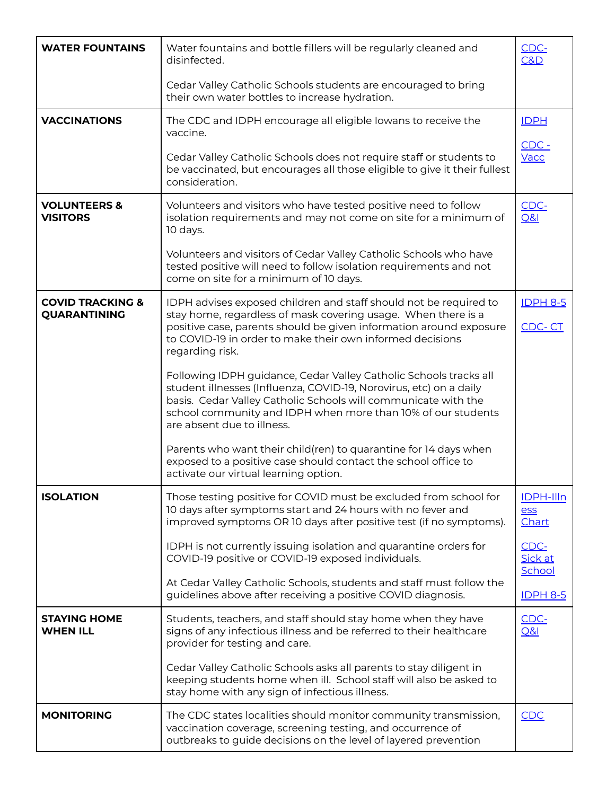| <b>WATER FOUNTAINS</b>                             | Water fountains and bottle fillers will be regularly cleaned and<br>disinfected.                                                                                                                                                                                                                        | CDC-<br>C&D                      |
|----------------------------------------------------|---------------------------------------------------------------------------------------------------------------------------------------------------------------------------------------------------------------------------------------------------------------------------------------------------------|----------------------------------|
|                                                    | Cedar Valley Catholic Schools students are encouraged to bring<br>their own water bottles to increase hydration.                                                                                                                                                                                        |                                  |
| <b>VACCINATIONS</b>                                | The CDC and IDPH encourage all eligible lowans to receive the<br>vaccine.                                                                                                                                                                                                                               | <b>IDPH</b>                      |
|                                                    | Cedar Valley Catholic Schools does not require staff or students to<br>be vaccinated, but encourages all those eligible to give it their fullest<br>consideration.                                                                                                                                      | $CDC -$<br>Vacc                  |
| <b>VOLUNTEERS &amp;</b><br><b>VISITORS</b>         | Volunteers and visitors who have tested positive need to follow<br>isolation requirements and may not come on site for a minimum of<br>10 days.                                                                                                                                                         | CDC-<br><b>Q&amp;I</b>           |
|                                                    | Volunteers and visitors of Cedar Valley Catholic Schools who have<br>tested positive will need to follow isolation requirements and not<br>come on site for a minimum of 10 days.                                                                                                                       |                                  |
| <b>COVID TRACKING &amp;</b><br><b>QUARANTINING</b> | IDPH advises exposed children and staff should not be required to<br>stay home, regardless of mask covering usage. When there is a                                                                                                                                                                      | <b>IDPH 8-5</b>                  |
|                                                    | positive case, parents should be given information around exposure<br>to COVID-19 in order to make their own informed decisions<br>regarding risk.                                                                                                                                                      | CDC-CT                           |
|                                                    | Following IDPH guidance, Cedar Valley Catholic Schools tracks all<br>student illnesses (Influenza, COVID-19, Norovirus, etc) on a daily<br>basis. Cedar Valley Catholic Schools will communicate with the<br>school community and IDPH when more than 10% of our students<br>are absent due to illness. |                                  |
|                                                    | Parents who want their child(ren) to quarantine for 14 days when<br>exposed to a positive case should contact the school office to<br>activate our virtual learning option.                                                                                                                             |                                  |
| <b>ISOLATION</b>                                   | Those testing positive for COVID must be excluded from school for<br>10 days after symptoms start and 24 hours with no fever and<br>improved symptoms OR 10 days after positive test (if no symptoms).                                                                                                  | <b>IDPH-Illn</b><br>ess<br>Chart |
|                                                    | IDPH is not currently issuing isolation and quarantine orders for<br>COVID-19 positive or COVID-19 exposed individuals.                                                                                                                                                                                 | CDC-<br>Sick at<br>School        |
|                                                    | At Cedar Valley Catholic Schools, students and staff must follow the<br>guidelines above after receiving a positive COVID diagnosis.                                                                                                                                                                    | <b>IDPH 8-5</b>                  |
| <b>STAYING HOME</b><br><b>WHEN ILL</b>             | Students, teachers, and staff should stay home when they have<br>signs of any infectious illness and be referred to their healthcare<br>provider for testing and care.                                                                                                                                  | CDC-<br><b>Q&amp;I</b>           |
|                                                    | Cedar Valley Catholic Schools asks all parents to stay diligent in<br>keeping students home when ill. School staff will also be asked to<br>stay home with any sign of infectious illness.                                                                                                              |                                  |
| <b>MONITORING</b>                                  | The CDC states localities should monitor community transmission,<br>vaccination coverage, screening testing, and occurrence of<br>outbreaks to guide decisions on the level of layered prevention                                                                                                       | CDC                              |